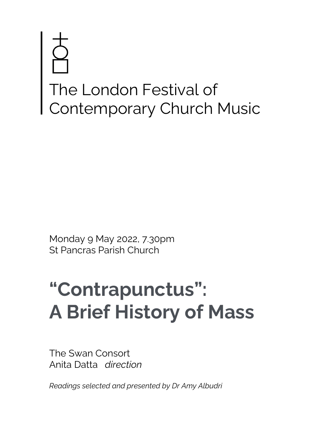# The London Festival of Contemporary Church Music

Monday 9 May 2022, 7.30pm St Pancras Parish Church

# **"Contrapunctus": A Brief History of Mass**

The Swan Consort Anita Datta *direction*

*Readings selected and presented by Dr Amy Albudri*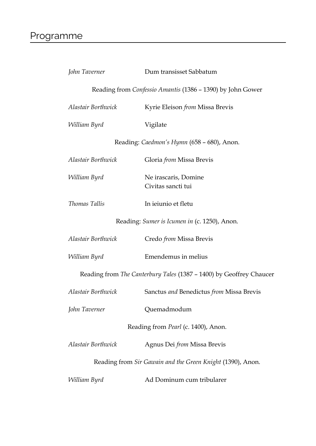| John Taverner                                                       | Dum transisset Sabbatum                                    |
|---------------------------------------------------------------------|------------------------------------------------------------|
|                                                                     | Reading from Confessio Amantis (1386 - 1390) by John Gower |
| Alastair Borthwick                                                  | Kyrie Eleison from Missa Brevis                            |
| William Byrd                                                        | Vigilate                                                   |
|                                                                     | Reading: Caedmon's Hymn (658 - 680), Anon.                 |
| Alastair Borthwick                                                  | Gloria <i>from</i> Missa Brevis                            |
| William Byrd                                                        | Ne irascaris, Domine<br>Civitas sancti tui                 |
| Thomas Tallis                                                       | In ieiunio et fletu                                        |
| Reading: Sumer is Icumen in (c. 1250), Anon.                        |                                                            |
| Alastair Borthwick                                                  | Credo <i>from</i> Missa Brevis                             |
| William Byrd                                                        | Emendemus in melius                                        |
| Reading from The Canterbury Tales (1387 - 1400) by Geoffrey Chaucer |                                                            |
| Alastair Borthwick                                                  | Sanctus and Benedictus from Missa Brevis                   |
| John Taverner                                                       | Quemadmodum                                                |
| Reading from <i>Pearl</i> (c. 1400), Anon.                          |                                                            |
| Alastair Borthwick                                                  | Agnus Dei from Missa Brevis                                |
| Reading from Sir Gawain and the Green Knight (1390), Anon.          |                                                            |
| William Byrd                                                        | Ad Dominum cum tribularer                                  |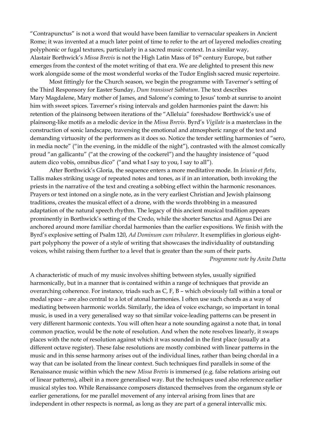"Contrapunctus" is not a word that would have been familiar to vernacular speakers in Ancient Rome; it was invented at a much later point of time to refer to the art of layered melodies creating polyphonic or fugal textures, particularly in a sacred music context. In a similar way, Alastair Borthwick's *Missa Brevis* is not the High Latin Mass of 16th century Europe, but rather emerges from the context of the motet writing of that era. We are delighted to present this new work alongside some of the most wonderful works of the Tudor English sacred music repertoire.

Most fittingly for the Church season, we begin the programme with Taverner's setting of the Third Responsory for Easter Sunday, *Dum transisset Sabbatum*. The text describes Mary Magdalene, Mary mother of James, and Salome's coming to Jesus' tomb at sunrise to anoint him with sweet spices. Taverner's rising intervals and golden harmonies paint the dawn: his retention of the plainsong between iterations of the "Alleluia" foreshadow Borthwick's use of plainsong-like motifs as a melodic device in the *Missa Brevis*. Byrd's *Vigilate* is a masterclass in the construction of sonic landscape, traversing the emotional and atmospheric range of the text and demanding virtuosity of the performers as it does so. Notice the tender settling harmonies of "sero, in media nocte" ("in the evening, in the middle of the night"), contrasted with the almost comically proud "an gallicantu" ("at the crowing of the cockerel") and the haughty insistence of "quod autem dico vobis, omnibus dico" ("and what I say to you, I say to all").

After Borthwick's Gloria, the sequence enters a more meditative mode. In *Ieiunio et fletu*, Tallis makes striking usage of repeated notes and tones, as if in an intonation, both invoking the priests in the narrative of the text and creating a sobbing effect within the harmonic resonances. Prayers or text intoned on a single note, as in the very earliest Christian and Jewish plainsong traditions, creates the musical effect of a drone, with the words throbbing in a measured adaptation of the natural speech rhythm. The legacy of this ancient musical tradition appears prominently in Borthwick's setting of the Credo, while the shorter Sanctus and Agnus Dei are anchored around more familiar chordal harmonies than the earlier expositions. We finish with the Byrd's explosive setting of Psalm 120, *Ad Dominum cum tribularer*. It exemplifies in glorious eightpart polyphony the power of a style of writing that showcases the individuality of outstanding voices, whilst raising them further to a level that is greater than the sum of their parts.

*Programme note by Anita Datta*

A characteristic of much of my music involves shifting between styles, usually signified harmonically, but in a manner that is contained within a range of techniques that provide an overarching coherence. For instance, triads such as C, F, B – which obviously fall within a tonal or modal space – are also central to a lot of atonal harmonies. I often use such chords as a way of mediating between harmonic worlds. Similarly, the idea of voice exchange, so important in tonal music, is used in a very generalised way so that similar voice-leading patterns can be present in very different harmonic contexts. You will often hear a note sounding against a note that, in tonal common practice, would be the note of resolution. And when the note resolves linearly, it swaps places with the note of resolution against which it was sounded in the first place (usually at a different octave register). These false resolutions are mostly combined with linear patterns in the music and in this sense harmony arises out of the individual lines, rather than being chordal in a way that can be isolated from the linear context. Such techniques find parallels in some of the Renaissance music within which the new *Missa Brevis* is immersed (e.g. false relations arising out of linear patterns), albeit in a more generalised way. But the techniques used also reference earlier musical styles too. While Renaissance composers distanced themselves from the organum style or earlier generations, for me parallel movement of any interval arising from lines that are independent in other respects is normal, as long as they are part of a general intervallic mix.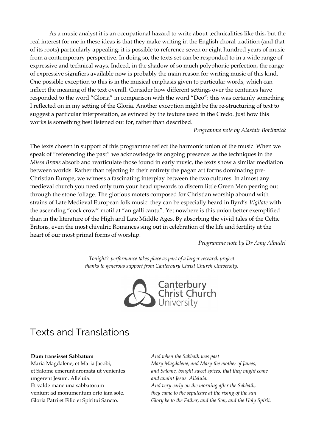As a music analyst it is an occupational hazard to write about technicalities like this, but the real interest for me in these ideas is that they make writing in the English choral tradition (and that of its roots) particularly appealing: it is possible to reference seven or eight hundred years of music from a contemporary perspective. In doing so, the texts set can be responded to in a wide range of expressive and technical ways. Indeed, in the shadow of so much polyphonic perfection, the range of expressive signifiers available now is probably the main reason for writing music of this kind. One possible exception to this is in the musical emphasis given to particular words, which can inflect the meaning of the text overall. Consider how different settings over the centuries have responded to the word "Gloria" in comparison with the word "Deo": this was certainly something I reflected on in my setting of the Gloria. Another exception might be the re-structuring of text to suggest a particular interpretation, as evinced by the texture used in the Credo. Just how this works is something best listened out for, rather than described.

# *Programme note by Alastair Borthwick*

The texts chosen in support of this programme reflect the harmonic union of the music. When we speak of "referencing the past" we acknowledge its ongoing presence: as the techniques in the *Missa Brevis* absorb and rearticulate those found in early music, the texts show a similar mediation between worlds. Rather than rejecting in their entirety the pagan art forms dominating pre-Christian Europe, we witness a fascinating interplay between the two cultures. In almost any medieval church you need only turn your head upwards to discern little Green Men peering out through the stone foliage. The glorious motets composed for Christian worship abound with strains of Late Medieval European folk music: they can be especially heard in Byrd's *Vigilate* with the ascending "cock crow" motif at "an galli cantu". Yet nowhere is this union better exemplified than in the literature of the High and Late Middle Ages. By absorbing the vivid tales of the Celtic Britons, even the most chivalric Romances sing out in celebration of the life and fertility at the heart of our most primal forms of worship.

*Programme note by Dr Amy Albudri*

*Tonight's performance takes place as part of a larger research project thanks to generous support from Canterbury Christ Church University.*



# Texts and Translations

# **Dum transisset Sabbatum**

Maria Magdalene, et Maria Jacobi, et Salome emerunt aromata ut venientes ungerent Jesum. Alleluia. Et valde mane una sabbatorum veniunt ad monumentum orto iam sole. Gloria Patri et Filio et Spiritui Sancto.

*And when the Sabbath was past Mary Magdalene, and Mary the mother of James, and Salome, bought sweet spices, that they might come and anoint Jesus. Alleluia. And very early on the morning after the Sabbath, they came to the sepulchre at the rising of the sun. Glory be to the Father, and the Son, and the Holy Spirit.*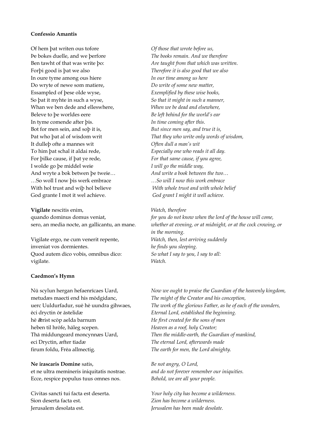### **Confessio Amantis**

Of hem þat writen ous tofore Þe bokes duelle, and we þerfore Ben tawht of that was write þo: Forþi good is þat we also In oure tyme among ous hiere Do wryte of newe som matiere, Essampled of þese olde wyse, So þat it myhte in such a wyse, Whan we ben dede and elleswhere, Beleve to þe worldes eere In tyme comende after þis. Bot for men sein, and soþ it is, Þat who þat al of wisdom writ It dulleþ ofte a mannes wit To him þat schal it aldai rede, For þilke cause, if þat ye rede, I wolde go þe middel weie And wryte a bok betwen þe tweie… …So woll I now þis werk embrace With hol trust and wiþ hol believe God grante I mot it wel achieve.

**Vigilate** nescitis enim, quando dominus domus veniat, sero, an media nocte, an gallicantu, an mane.

Vigilate ergo, ne cum venerit repente, inveniat vos dormientes. Quod autem dico vobis, omnibus dico: vigilate.

### **Caedmon's Hymn**

Nū scylun hergan hefaenrīcaes Uard, metudæs maecti end his mōdgidanc, uerc Uuldurfadur, suē hē uundra gihwaes, ēci dryctin ōr āstelidæ hē  $\bar{x}$ rist scōp aelda barnum heben til hrōfe, hāleg scepen. Thā middungeard moncynnæs Uard, eci Dryctin, æfter tīadæ firum foldu, Frēa allmectig.

**Ne irascaris Domine** satis,

et ne ultra memineris iniquitatis nostrae. Ecce, respice populus tuus omnes nos.

Civitas sancti tui facta est deserta. Sion deserta facta est. Jerusalem desolata est.

*Of those that wrote before us, The books remain. And we therefore Are taught from that which was written. Therefore it is also good that we also In our time among us here Do write of some new matter, Exemplified by these wise books, So that it might in such a manner, When we be dead and elsewhere, Be left behind for the world's ear In time coming after this. But since men say, and true it is, That they who write only words of wisdom, Often dull a man's wit Especially one who reads it all day. For that same cause, if you agree, I will go the middle way, And write a book between the two… …So will I now this work embrace With whole trust and with whole belief God grant I might it well achieve.*

### *Watch, therefore*

*for you do not know when the lord of the house will come, whether at evening, or at midnight, or at the cock crowing, or in the morning. Watch, then, lest arriving suddenly he finds you sleeping. So what I say to you, I say to all: Watch.*

*Now we ought to praise the Guardian of the heavenly kingdom, The might of the Creator and his conception, The work of the glorious Father, as he of each of the wonders, Eternal Lord, established the beginning. He first created for the sons of men Heaven as a roof, holy Creator; Then the middle-earth, the Guardian of mankind, The eternal Lord, afterwards made The earth for men, the Lord almighty.*

*Be not angry, O Lord, and do not forever remember our iniquities. Behold, we are all your people.*

*Your holy city has become a wilderness. Zion has become a wilderness. Jerusalem has been made desolate.*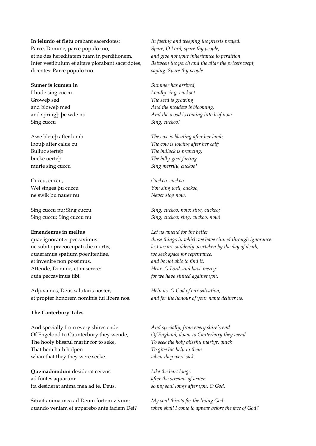**In ieiunio et fletu** orabant sacerdotes: Parce, Domine, parce populo tuo, et ne des hereditatem tuam in perditionem. Inter vestibulum et altare plorabant sacerdotes, dicentes: Parce populo tuo.

**Sumer is icumen in** Lhude sing cuccu Groweþ sed and bloweþ med and springþ þe wde nu Sing cuccu

Awe bleteþ after lomb lhouþ after calue cu Bulluc sterteþ bucke uerteþ murie sing cuccu

Cuccu, cuccu, Wel singes þu cuccu ne swik þu nauer nu

Sing cuccu nu; Sing cuccu. Sing cuccu; Sing cuccu nu.

### **Emendemus in melius**

quae ignoranter peccavimus: ne subito praeoccupati die mortis, quaeramus spatium poenitentiae, et invenire non possimus. Attende, Domine, et miserere: quia peccavimus tibi.

Adjuva nos, Deus salutaris noster, et propter honorem nominis tui libera nos.

### **The Canterbury Tales**

And specially from every shires ende Of Engelond to Caunterbury they wende, The hooly blissful martir for to seke, That hem hath holpen whan that they they were seeke.

**Quemadmodum** desiderat cervus ad fontes aquarum: ita desiderat anima mea ad te, Deus.

Sitivit anima mea ad Deum fortem vivum: quando veniam et apparebo ante faciem Dei?

*In fasting and weeping the priests prayed: Spare, O Lord, spare thy people, and give not your inheritance to perdition. Between the porch and the altar the priests wept, saying: Spare thy people.*

*Summer has arrived, Loudly sing, cuckoo! The seed is growing And the meadow is blooming, And the wood is coming into leaf now, Sing, cuckoo!*

*The ewe is bleating after her lamb, The cow is lowing after her calf; The bullock is prancing, The billy-goat farting Sing merrily, cuckoo!*

*Cuckoo, cuckoo, You sing well, cuckoo, Never stop now.*

*Sing, cuckoo, now; sing, cuckoo; Sing, cuckoo; sing, cuckoo, now!*

*Let us amend for the better those things in which we have sinned through ignorance: lest we are suddenly overtaken by the day of death, we seek space for repentance, and be not able to find it. Hear, O Lord, and have mercy: for we have sinned against you.*

*Help us, O God of our salvation, and for the honour of your name deliver us.*

*And specially, from every shire's end Of England, down to Canterbury they wend To seek the holy blissful martyr, quick To give his help to them when they were sick.*

*Like the hart longs after the streams of water: so my soul longs after you, O God.*

*My soul thirsts for the living God: when shall I come to appear before the face of God?*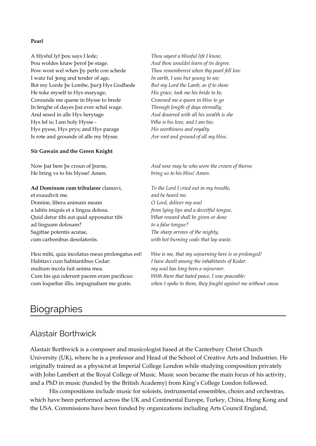# **Pearl**

A blysful lyf þou says I lede; Þou woldes knaw þerof þe stage. Þow wost wel when þy perle con schede I watz ful 30ng and tender of age, Bot my Lorde þe Lombe, þur 3 Hys Godhede He toke myself to Hys maryage, Corounde me quene in blysse to brede In lenghe of dayes þat ever schal wage. And sesed in alle Hys herytage Hys lef is; I am holy Hysse - Hys pyese, Hys prys; and Hys parage Is rote and grounde of alle my blysse.

### **Sir Gawain and the Green Knight**

Now þat bere þe croun of þorne, He bring vs to his blysse! Amen.

# **Ad Dominum cum tribularer** clamavi,

et exaudivit me. Domine, libera animam meam a labiis iniquis et a lingua dolosa. Quid detur tibi aut quid apponatur tibi ad linguam dolosam? Sagittae potentis acutae, cum carbonibus desolatoriis.

Heu mihi, quia incolatus meus prolongatus est! Habitavi cum habitantibus Cedar: multum incola fuit anima mea. Cum his qui oderunt pacem eram pacificus: cum loquebar illis, impugnabant me gratis.

*Thou sayest a blissful life I know, And thou wouldst learn of its degree. Thou rememberest when thy pearl fell low In earth, I was but young to see; But my Lord the Lamb, as if to show His grace, took me his bride to be, Crowned me a queen in bliss to go Through length of days eternally; And dowered with all his wealth is she Who is his love, and I am his; His worthiness and royalty Are root and ground of all my bliss.*

*And now may he who wore the crown of thorns bring us to his bliss! Amen.*

*To the Lord I cried out in my trouble, and he heard me. O Lord, deliver my soul from lying lips and a deceitful tongue. What reward shall be given or done to a false tongue? The sharp arrows of the mighty, with hot burning coals that lay waste.*

*Woe is me, that my sojourning here is so prolonged! I have dwelt among the inhabitants of Kedar: my soul has long been a sojourner. With them that hated peace, I was peaceable: when I spoke to them, they fought against me without cause.*

# **Biographies**

# Alastair Borthwick

Alastair Borthwick is a composer and musicologist based at the Canterbury Christ Church University (UK), where he is a professor and Head of the School of Creative Arts and Industries. He originally trained as a physicist at Imperial College London while studying composition privately with John Lambert at the Royal College of Music. Music soon became the main focus of his activity, and a PhD in music (funded by the British Academy) from King's College London followed.

His compositions include music for soloists, instrumental ensembles, choirs and orchestras, which have been performed across the UK and Continental Europe, Turkey, China, Hong Kong and the USA. Commissions have been funded by organizations including Arts Council England,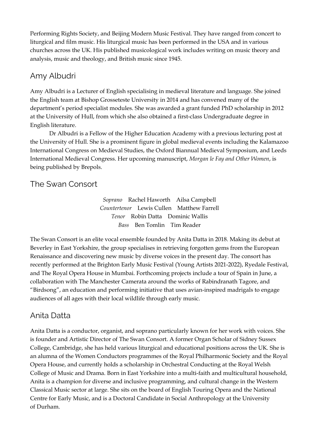Performing Rights Society, and Beijing Modern Music Festival. They have ranged from concert to liturgical and film music. His liturgical music has been performed in the USA and in various churches across the UK. His published musicological work includes writing on music theory and analysis, music and theology, and British music since 1945.

# Amy Albudri

Amy Albudri is a Lecturer of English specialising in medieval literature and language. She joined the English team at Bishop Grosseteste University in 2014 and has convened many of the department's period specialist modules. She was awarded a grant funded PhD scholarship in 2012 at the University of Hull, from which she also obtained a first-class Undergraduate degree in English literature.

Dr Albudri is a Fellow of the Higher Education Academy with a previous lecturing post at the University of Hull. She is a prominent figure in global medieval events including the Kalamazoo International Congress on Medieval Studies, the Oxford Biannual Medieval Symposium, and Leeds International Medieval Congress. Her upcoming manuscript, *Morgan le Fay and Other Women*, is being published by Brepols.

# The Swan Consort

*Soprano* Rachel Haworth Ailsa Campbell *Countertenor* Lewis Cullen Matthew Farrell *Tenor* Robin Datta Dominic Wallis *Bass* Ben Tomlin Tim Reader

The Swan Consort is an elite vocal ensemble founded by Anita Datta in 2018. Making its debut at Beverley in East Yorkshire, the group specialises in retrieving forgotten gems from the European Renaissance and discovering new music by diverse voices in the present day. The consort has recently performed at the Brighton Early Music Festival (Young Artists 2021-2022), Ryedale Festival, and The Royal Opera House in Mumbai. Forthcoming projects include a tour of Spain in June, a collaboration with The Manchester Camerata around the works of Rabindranath Tagore, and "Birdsong", an education and performing initiative that uses avian-inspired madrigals to engage audiences of all ages with their local wildlife through early music.

# Anita Datta

Anita Datta is a conductor, organist, and soprano particularly known for her work with voices. She is founder and Artistic Director of The Swan Consort. A former Organ Scholar of Sidney Sussex College, Cambridge, she has held various liturgical and educational positions across the UK. She is an alumna of the Women Conductors programmes of the Royal Philharmonic Society and the Royal Opera House, and currently holds a scholarship in Orchestral Conducting at the Royal Welsh College of Music and Drama. Born in East Yorkshire into a multi-faith and multicultural household, Anita is a champion for diverse and inclusive programming, and cultural change in the Western Classical Music sector at large. She sits on the board of English Touring Opera and the National Centre for Early Music, and is a Doctoral Candidate in Social Anthropology at the University of Durham.